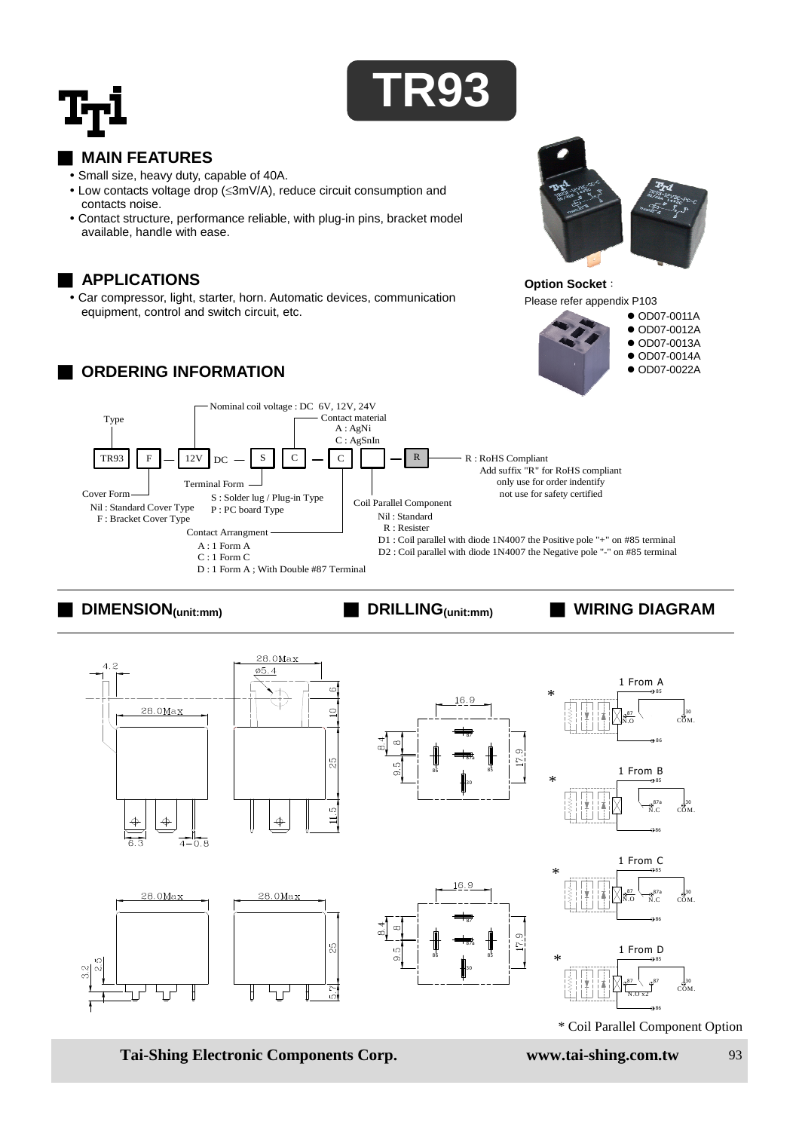



## ■ **MAIN FEATURES**

- Small size, heavy duty, capable of 40A.
- Low contacts voltage drop (<3mV/A), reduce circuit consumption and contacts noise.
- Contact structure, performance reliable, with plug-in pins, bracket model available, handle with ease.

### ■ **APPLICATIONS**

 Car compressor, light, starter, horn. Automatic devices, communication equipment, control and switch circuit, etc.

# **ORDERING INFORMATION**



### Please refer appendix P103 ● OD07-0011A ● OD07-0012A ● OD07-0013A ● OD07-0014A ● OD07-0022A

**Option Socket**:



# ■ **DIMENSION(unit:mm)** ■ **DRILLING(unit:mm)** ■ **WIRING DIAGRAM**



**Tai-Shing Electronic Components Corp. www.tai-shing.com.tw** 93

\* Coil Parallel Component Option